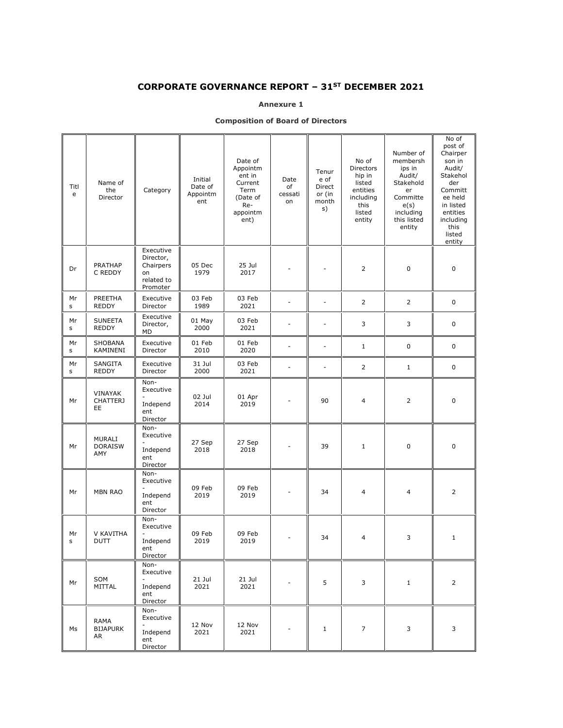## CORPORATE GOVERNANCE REPORT – 31ST DECEMBER 2021

#### Annexure 1

#### Composition of Board of Directors

| Titl<br>e | Name of<br>the<br>Director       | Category                                                            | Initial<br>Date of<br>Appointm<br>ent | Date of<br>Appointm<br>ent in<br>Current<br>Term<br>(Date of<br>Re-<br>appointm<br>ent) | Date<br>of<br>cessati<br>on | Tenur<br>e of<br>Direct<br>or (in<br>month<br>s) | No of<br>Directors<br>hip in<br>listed<br>entities<br>including<br>this<br>listed<br>entity | Number of<br>membersh<br>ips in<br>Audit/<br>Stakehold<br>er<br>Committe<br>e(s)<br>including<br>this listed<br>entity | No of<br>post of<br>Chairper<br>son in<br>Audit/<br>Stakehol<br>der<br>Committ<br>ee held<br>in listed<br>entities<br>including<br>this<br>listed<br>entity |
|-----------|----------------------------------|---------------------------------------------------------------------|---------------------------------------|-----------------------------------------------------------------------------------------|-----------------------------|--------------------------------------------------|---------------------------------------------------------------------------------------------|------------------------------------------------------------------------------------------------------------------------|-------------------------------------------------------------------------------------------------------------------------------------------------------------|
| Dr        | <b>PRATHAP</b><br>C REDDY        | Executive<br>Director,<br>Chairpers<br>on<br>related to<br>Promoter | 05 Dec<br>1979                        | 25 Jul<br>2017                                                                          |                             |                                                  | $\overline{2}$                                                                              | 0                                                                                                                      | $\mathbf 0$                                                                                                                                                 |
| Mr<br>s   | PREETHA<br><b>REDDY</b>          | Executive<br>Director                                               | 03 Feb<br>1989                        | 03 Feb<br>2021                                                                          |                             | $\overline{\phantom{a}}$                         | 2                                                                                           | 2                                                                                                                      | 0                                                                                                                                                           |
| Мr<br>s   | <b>SUNEETA</b><br><b>REDDY</b>   | Executive<br>Director,<br>MD                                        | 01 May<br>2000                        | 03 Feb<br>2021                                                                          |                             | $\overline{a}$                                   | 3                                                                                           | 3                                                                                                                      | 0                                                                                                                                                           |
| Мr<br>s   | SHOBANA<br>KAMINENI              | Executive<br>Director                                               | 01 Feb<br>2010                        | 01 Feb<br>2020                                                                          |                             | $\overline{a}$                                   | $\mathbf{1}$                                                                                | $\mathbf 0$                                                                                                            | 0                                                                                                                                                           |
| Мr<br>s   | SANGITA<br><b>REDDY</b>          | Executive<br>Director                                               | 31 Jul<br>2000                        | 03 Feb<br>2021                                                                          |                             | $\overline{a}$                                   | 2                                                                                           | $\mathbf{1}$                                                                                                           | 0                                                                                                                                                           |
| Мr        | VINAYAK<br><b>CHATTERJ</b><br>EE | Non-<br>Executive<br>Independ<br>ent<br>Director                    | 02 Jul<br>2014                        | 01 Apr<br>2019                                                                          |                             | 90                                               | 4                                                                                           | $\overline{2}$                                                                                                         | $\mathbf 0$                                                                                                                                                 |
| Mr        | MURALI<br><b>DORAISW</b><br>AMY  | Non-<br>Executive<br>Independ<br>ent<br>Director                    | 27 Sep<br>2018                        | 27 Sep<br>2018                                                                          |                             | 39                                               | $\mathbf{1}$                                                                                | $\mathbf 0$                                                                                                            | $\mathbf 0$                                                                                                                                                 |
| Mr        | <b>MBN RAO</b>                   | Non-<br>Executive<br>Independ<br>ent<br>Director                    | 09 Feb<br>2019                        | 09 Feb<br>2019                                                                          |                             | 34                                               | $\overline{4}$                                                                              | 4                                                                                                                      | $\overline{2}$                                                                                                                                              |
| Мr<br>s   | V KAVITHA<br><b>DUTT</b>         | Non-<br>Executive<br>Independ<br>ent<br>Director                    | 09 Feb<br>2019                        | 09 Feb<br>2019                                                                          |                             | 34                                               | $\overline{4}$                                                                              | 3                                                                                                                      | $\mathbf{1}$                                                                                                                                                |
| Mr        | SOM<br>MITTAL                    | Non-<br>Executive<br>Independ<br>ent<br>Director                    | $21$ Jul<br>2021                      | $21$ Jul<br>2021                                                                        |                             | 5                                                | 3                                                                                           | $\mathbf{1}$                                                                                                           | $\overline{2}$                                                                                                                                              |
| Ms        | RAMA<br><b>BIJAPURK</b><br>AR    | Non-<br>Executive<br>Independ<br>ent<br>Director                    | 12 Nov<br>2021                        | 12 Nov<br>2021                                                                          |                             | $1\,$                                            | 7                                                                                           | 3                                                                                                                      | 3                                                                                                                                                           |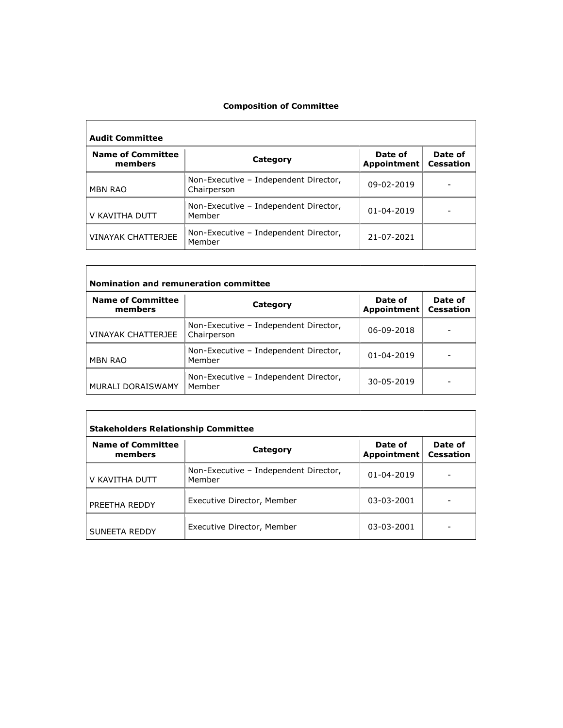#### Composition of Committee

| <b>Audit Committee</b>              |                                                      |                               |                             |
|-------------------------------------|------------------------------------------------------|-------------------------------|-----------------------------|
| <b>Name of Committee</b><br>members | Category                                             | Date of<br><b>Appointment</b> | Date of<br><b>Cessation</b> |
| <b>MBN RAO</b>                      | Non-Executive - Independent Director,<br>Chairperson | 09-02-2019                    |                             |
| V KAVITHA DUTT                      | Non-Executive - Independent Director,<br>Member      | 01-04-2019                    |                             |
| <b>VINAYAK CHATTERJEE</b>           | Non-Executive - Independent Director,<br>Member      | 21-07-2021                    |                             |

| Nomination and remuneration committee |                                                      |                        |                             |
|---------------------------------------|------------------------------------------------------|------------------------|-----------------------------|
| <b>Name of Committee</b><br>members   | Category                                             | Date of<br>Appointment | Date of<br><b>Cessation</b> |
| <b>VINAYAK CHATTERJEE</b>             | Non-Executive - Independent Director,<br>Chairperson | 06-09-2018             |                             |
| <b>MBN RAO</b>                        | Non-Executive - Independent Director,<br>Member      | 01-04-2019             |                             |
| <b>MURALI DORAISWAMY</b>              | Non-Executive - Independent Director,<br>Member      | 30-05-2019             |                             |

| <b>Stakeholders Relationship Committee</b> |                                                 |                        |                             |
|--------------------------------------------|-------------------------------------------------|------------------------|-----------------------------|
| <b>Name of Committee</b><br>members        | Category                                        | Date of<br>Appointment | Date of<br><b>Cessation</b> |
| V KAVITHA DUTT                             | Non-Executive - Independent Director,<br>Member | 01-04-2019             |                             |
| PREETHA REDDY                              | Executive Director, Member                      | 03-03-2001             |                             |
| SUNEETA REDDY                              | Executive Director, Member                      | 03-03-2001             |                             |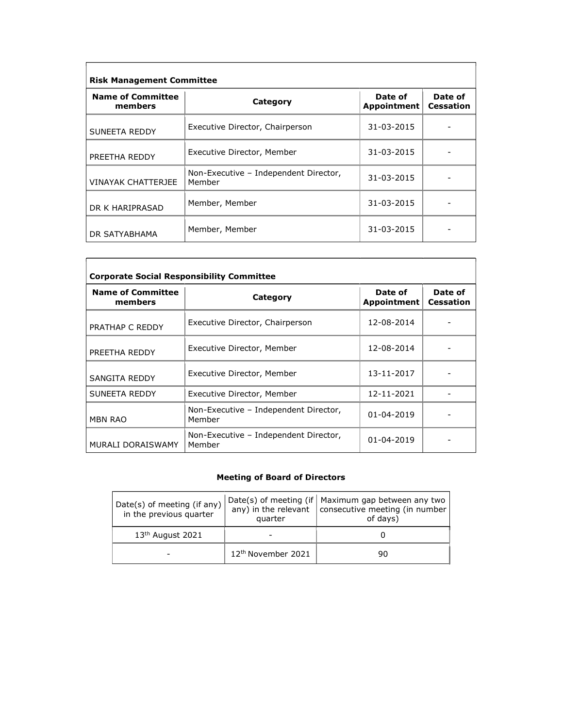| <b>Risk Management Committee</b>    |                                                 |                        |                             |
|-------------------------------------|-------------------------------------------------|------------------------|-----------------------------|
| <b>Name of Committee</b><br>members | Category                                        | Date of<br>Appointment | Date of<br><b>Cessation</b> |
| SUNEETA REDDY                       | Executive Director, Chairperson                 | 31-03-2015             |                             |
| PREETHA REDDY                       | Executive Director, Member                      | 31-03-2015             |                             |
| <b>VINAYAK CHATTERJEE</b>           | Non-Executive - Independent Director,<br>Member | 31-03-2015             |                             |
| DR K HARIPRASAD                     | Member, Member                                  | 31-03-2015             |                             |
| DR SATYABHAMA                       | Member, Member                                  | 31-03-2015             |                             |

| <b>Corporate Social Responsibility Committee</b> |                                                 |                        |                             |
|--------------------------------------------------|-------------------------------------------------|------------------------|-----------------------------|
| <b>Name of Committee</b><br>members              | Category                                        | Date of<br>Appointment | Date of<br><b>Cessation</b> |
| PRATHAP C REDDY                                  | Executive Director, Chairperson                 | 12-08-2014             |                             |
| PREETHA REDDY                                    | Executive Director, Member                      | 12-08-2014             |                             |
| <b>SANGITA REDDY</b>                             | Executive Director, Member                      | 13-11-2017             |                             |
| SUNEETA REDDY                                    | Executive Director, Member                      | 12-11-2021             |                             |
| <b>MBN RAO</b>                                   | Non-Executive - Independent Director,<br>Member | 01-04-2019             |                             |
| MURALI DORAISWAMY                                | Non-Executive - Independent Director,<br>Member | 01-04-2019             |                             |

#### Meeting of Board of Directors

| Date(s) of meeting (if any)<br>in the previous quarter | quarter                        | Date(s) of meeting (if   Maximum gap between any two<br>any) in the relevant $\vert$ consecutive meeting (in number<br>of days) |
|--------------------------------------------------------|--------------------------------|---------------------------------------------------------------------------------------------------------------------------------|
| $13th$ August 2021                                     |                                |                                                                                                                                 |
|                                                        | 12 <sup>th</sup> November 2021 | 90                                                                                                                              |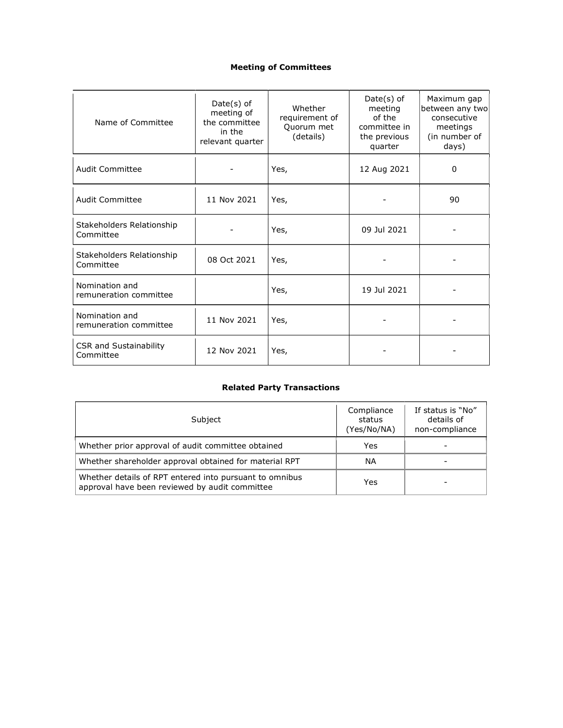# Meeting of Committees

| Name of Committee                          | $Date(s)$ of<br>meeting of<br>the committee<br>in the<br>relevant quarter | Whether<br>requirement of<br>Quorum met<br>(details) | $Date(s)$ of<br>meeting<br>of the<br>committee in<br>the previous<br>quarter | Maximum gap<br>between any two<br>consecutive<br>meetings<br>(in number of<br>days) |
|--------------------------------------------|---------------------------------------------------------------------------|------------------------------------------------------|------------------------------------------------------------------------------|-------------------------------------------------------------------------------------|
| <b>Audit Committee</b>                     |                                                                           | Yes,                                                 | 12 Aug 2021                                                                  | 0                                                                                   |
| <b>Audit Committee</b>                     | 11 Nov 2021                                                               | Yes,                                                 |                                                                              | 90                                                                                  |
| Stakeholders Relationship<br>Committee     |                                                                           | Yes,                                                 | 09 Jul 2021                                                                  |                                                                                     |
| Stakeholders Relationship<br>Committee     | 08 Oct 2021                                                               | Yes,                                                 |                                                                              |                                                                                     |
| Nomination and<br>remuneration committee   |                                                                           | Yes,                                                 | 19 Jul 2021                                                                  |                                                                                     |
| Nomination and<br>remuneration committee   | 11 Nov 2021                                                               | Yes,                                                 |                                                                              |                                                                                     |
| <b>CSR and Sustainability</b><br>Committee | 12 Nov 2021                                                               | Yes,                                                 |                                                                              |                                                                                     |

# Related Party Transactions

| Subject                                                                                                   | Compliance<br>status<br>(Yes/No/NA) | If status is "No"<br>details of<br>non-compliance |
|-----------------------------------------------------------------------------------------------------------|-------------------------------------|---------------------------------------------------|
| Whether prior approval of audit committee obtained                                                        | Yes                                 |                                                   |
| Whether shareholder approval obtained for material RPT                                                    | ΝA                                  |                                                   |
| Whether details of RPT entered into pursuant to omnibus<br>approval have been reviewed by audit committee | Yes                                 |                                                   |